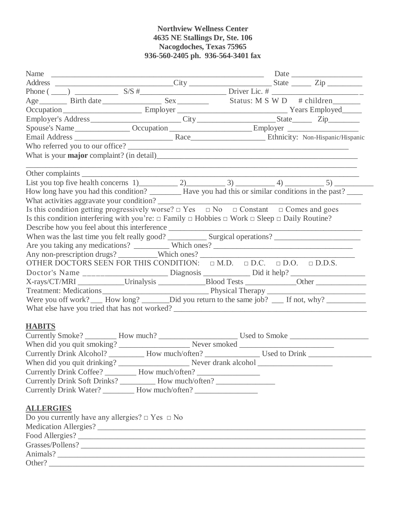## **Northview Wellness Center 4635 NE Stallings Dr, Ste. 106 Nacogdoches, Texas 75965 936-560-2405 ph. 936-564-3401 fax**

|                  |                                                           |                                                                                                                        | Age Birth date Sex Status: M S W D # children                                                            |
|------------------|-----------------------------------------------------------|------------------------------------------------------------------------------------------------------------------------|----------------------------------------------------------------------------------------------------------|
|                  |                                                           |                                                                                                                        |                                                                                                          |
|                  |                                                           |                                                                                                                        |                                                                                                          |
|                  |                                                           |                                                                                                                        |                                                                                                          |
|                  |                                                           |                                                                                                                        |                                                                                                          |
|                  |                                                           | Who referred you to our office?                                                                                        |                                                                                                          |
|                  |                                                           |                                                                                                                        |                                                                                                          |
|                  |                                                           |                                                                                                                        |                                                                                                          |
|                  |                                                           |                                                                                                                        |                                                                                                          |
|                  |                                                           |                                                                                                                        | How long have you had this condition? ________ Have you had this or similar conditions in the past? ____ |
|                  |                                                           |                                                                                                                        |                                                                                                          |
|                  |                                                           | Is this condition getting progressively worse? $\Box$ Yes $\Box$ No $\Box$ Constant $\Box$ Comes and goes              |                                                                                                          |
|                  |                                                           | Is this condition interfering with you're: $\Box$ Family $\Box$ Hobbies $\Box$ Work $\Box$ Sleep $\Box$ Daily Routine? |                                                                                                          |
|                  |                                                           |                                                                                                                        |                                                                                                          |
|                  |                                                           |                                                                                                                        |                                                                                                          |
|                  |                                                           |                                                                                                                        |                                                                                                          |
|                  |                                                           | Any non-prescription drugs? _________Which ones? ________________________________                                      |                                                                                                          |
|                  |                                                           | OTHER DOCTORS SEEN FOR THIS CONDITION: $\Box$ M.D. $\Box$ D.C. $\Box$ D.O. $\Box$ D.D.S.                               |                                                                                                          |
|                  |                                                           |                                                                                                                        |                                                                                                          |
|                  |                                                           |                                                                                                                        |                                                                                                          |
|                  |                                                           |                                                                                                                        |                                                                                                          |
|                  |                                                           |                                                                                                                        | Were you off work? ___ How long? ________Did you return to the same job? ___ If not, why? __________     |
|                  |                                                           |                                                                                                                        |                                                                                                          |
| <b>HABITS</b>    |                                                           |                                                                                                                        |                                                                                                          |
|                  |                                                           |                                                                                                                        |                                                                                                          |
|                  |                                                           |                                                                                                                        |                                                                                                          |
|                  |                                                           |                                                                                                                        | Currently Drink Alcohol? __________ How much/often? _________________ Used to Drink _______________      |
|                  |                                                           |                                                                                                                        |                                                                                                          |
|                  |                                                           | Currently Drink Coffee? ________ How much/often? _______________________________                                       |                                                                                                          |
|                  |                                                           | Currently Drink Soft Drinks? ___________ How much/often? _______________________                                       |                                                                                                          |
|                  |                                                           | Currently Drink Water? _________ How much/often? _______________________________                                       |                                                                                                          |
|                  |                                                           |                                                                                                                        |                                                                                                          |
| <b>ALLERGIES</b> |                                                           |                                                                                                                        |                                                                                                          |
|                  | Do you currently have any allergies? $\Box$ Yes $\Box$ No |                                                                                                                        |                                                                                                          |
|                  |                                                           |                                                                                                                        |                                                                                                          |
|                  |                                                           |                                                                                                                        |                                                                                                          |
|                  |                                                           |                                                                                                                        | Grasses/Pollens?                                                                                         |
|                  |                                                           |                                                                                                                        |                                                                                                          |
|                  |                                                           |                                                                                                                        |                                                                                                          |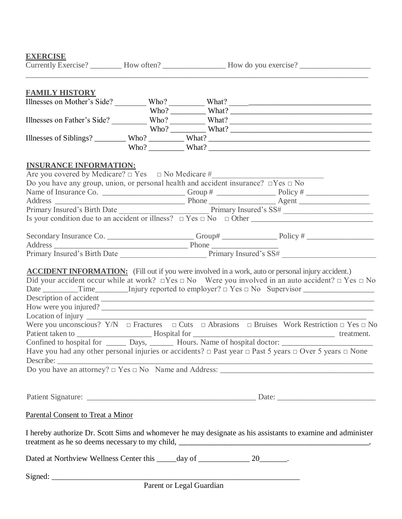## **EXERCISE**

|                                                                                               |  | Currently Exercise? _________ How often? ____________________ How do you exercise? _________________                                                                                                                                                                                                                                                                                                                                                                                                                                                                                                                                                                                          |
|-----------------------------------------------------------------------------------------------|--|-----------------------------------------------------------------------------------------------------------------------------------------------------------------------------------------------------------------------------------------------------------------------------------------------------------------------------------------------------------------------------------------------------------------------------------------------------------------------------------------------------------------------------------------------------------------------------------------------------------------------------------------------------------------------------------------------|
| <b>FAMILY HISTORY</b>                                                                         |  |                                                                                                                                                                                                                                                                                                                                                                                                                                                                                                                                                                                                                                                                                               |
|                                                                                               |  |                                                                                                                                                                                                                                                                                                                                                                                                                                                                                                                                                                                                                                                                                               |
|                                                                                               |  |                                                                                                                                                                                                                                                                                                                                                                                                                                                                                                                                                                                                                                                                                               |
|                                                                                               |  | Illnesses on Father's Side? Who? What? What?                                                                                                                                                                                                                                                                                                                                                                                                                                                                                                                                                                                                                                                  |
|                                                                                               |  |                                                                                                                                                                                                                                                                                                                                                                                                                                                                                                                                                                                                                                                                                               |
|                                                                                               |  |                                                                                                                                                                                                                                                                                                                                                                                                                                                                                                                                                                                                                                                                                               |
|                                                                                               |  | Who? What?                                                                                                                                                                                                                                                                                                                                                                                                                                                                                                                                                                                                                                                                                    |
| <b>INSURANCE INFORMATION:</b>                                                                 |  |                                                                                                                                                                                                                                                                                                                                                                                                                                                                                                                                                                                                                                                                                               |
| Are you covered by Medicare? □ Yes □ No Medicare #______________________________              |  |                                                                                                                                                                                                                                                                                                                                                                                                                                                                                                                                                                                                                                                                                               |
| Do you have any group, union, or personal health and accident insurance? $\Box$ Yes $\Box$ No |  |                                                                                                                                                                                                                                                                                                                                                                                                                                                                                                                                                                                                                                                                                               |
|                                                                                               |  |                                                                                                                                                                                                                                                                                                                                                                                                                                                                                                                                                                                                                                                                                               |
|                                                                                               |  |                                                                                                                                                                                                                                                                                                                                                                                                                                                                                                                                                                                                                                                                                               |
|                                                                                               |  |                                                                                                                                                                                                                                                                                                                                                                                                                                                                                                                                                                                                                                                                                               |
|                                                                                               |  |                                                                                                                                                                                                                                                                                                                                                                                                                                                                                                                                                                                                                                                                                               |
|                                                                                               |  |                                                                                                                                                                                                                                                                                                                                                                                                                                                                                                                                                                                                                                                                                               |
|                                                                                               |  |                                                                                                                                                                                                                                                                                                                                                                                                                                                                                                                                                                                                                                                                                               |
|                                                                                               |  |                                                                                                                                                                                                                                                                                                                                                                                                                                                                                                                                                                                                                                                                                               |
|                                                                                               |  |                                                                                                                                                                                                                                                                                                                                                                                                                                                                                                                                                                                                                                                                                               |
|                                                                                               |  | Did your accident occur while at work? $\Box$ Yes $\Box$ No Were you involved in an auto accident? $\Box$ Yes $\Box$ No<br>Date $\text{Time}$ Time Injury reported to employer? $\Box$ Yes $\Box$ No Supervisor $\text{Answer}$<br>How were you injured?<br>Were you unconscious? $Y/N$ $\Box$ Fractures $\Box$ Cuts $\Box$ Abrasions $\Box$ Bruises Work Restriction $\Box$ Yes $\Box$ No<br>Confined to hospital for Days, Bours. Name of hospital doctor:<br>Have you had any other personal injuries or accidents? $\Box$ Past year $\Box$ Past 5 years $\Box$ Over 5 years $\Box$ None<br>Describe: $\frac{1}{2}$ Do you have an attorney? $\Box$ Yes $\Box$ No Name and Address: $\Box$ |
|                                                                                               |  |                                                                                                                                                                                                                                                                                                                                                                                                                                                                                                                                                                                                                                                                                               |
| <b>Parental Consent to Treat a Minor</b>                                                      |  |                                                                                                                                                                                                                                                                                                                                                                                                                                                                                                                                                                                                                                                                                               |
|                                                                                               |  | I hereby authorize Dr. Scott Sims and whomever he may designate as his assistants to examine and administer                                                                                                                                                                                                                                                                                                                                                                                                                                                                                                                                                                                   |
| Dated at Northview Wellness Center this _____ day of _______________ 20________.              |  |                                                                                                                                                                                                                                                                                                                                                                                                                                                                                                                                                                                                                                                                                               |
|                                                                                               |  |                                                                                                                                                                                                                                                                                                                                                                                                                                                                                                                                                                                                                                                                                               |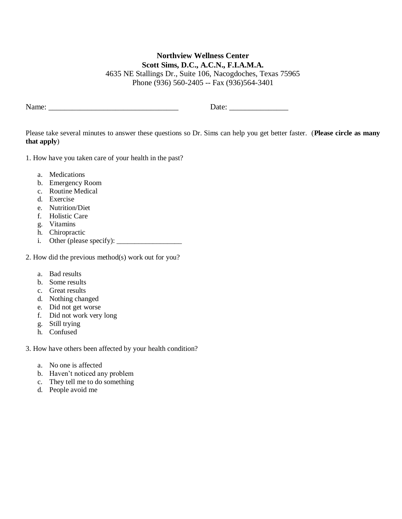## **Northview Wellness Center Scott Sims, D.C., A.C.N., F.I.A.M.A.**

4635 NE Stallings Dr., Suite 106, Nacogdoches, Texas 75965 Phone (936) 560-2405 -- Fax (936)564-3401

Name: \_\_\_\_\_\_\_\_\_\_\_\_\_\_\_\_\_\_\_\_\_\_\_\_\_\_\_\_\_\_\_\_\_ Date: \_\_\_\_\_\_\_\_\_\_\_\_\_\_\_

Please take several minutes to answer these questions so Dr. Sims can help you get better faster. (**Please circle as many that apply**)

1. How have you taken care of your health in the past?

- a. Medications
- b. Emergency Room
- c. Routine Medical
- d. Exercise
- e. Nutrition/Diet
- f. Holistic Care
- g. Vitamins
- h. Chiropractic
- i. Other (please specify): \_\_\_\_\_\_\_\_\_\_\_\_\_\_\_\_\_\_

2. How did the previous method(s) work out for you?

- a. Bad results
- b. Some results
- c. Great results
- d. Nothing changed
- e. Did not get worse
- f. Did not work very long
- g. Still trying
- h. Confused

3. How have others been affected by your health condition?

- a. No one is affected
- b. Haven't noticed any problem
- c. They tell me to do something
- d. People avoid me